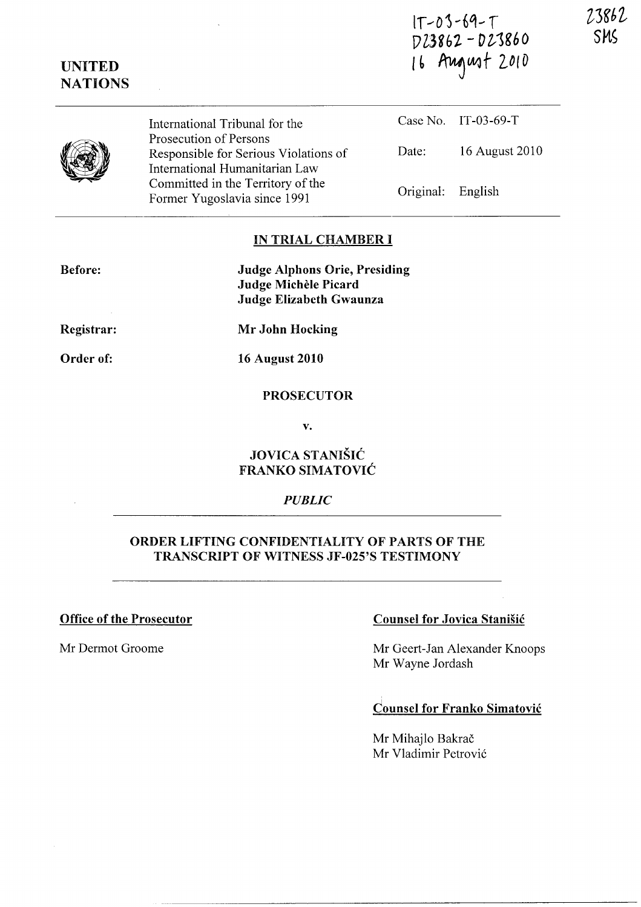| $1T - 03 - 69 - T$ |                |  |  |
|--------------------|----------------|--|--|
| D23862-D23860      |                |  |  |
|                    | 16 August 2010 |  |  |

23862 SKS

| <b>NATIONS</b> |                                                                                                   |           |                     |
|----------------|---------------------------------------------------------------------------------------------------|-----------|---------------------|
|                | International Tribunal for the                                                                    |           | Case No. IT-03-69-T |
|                | Prosecution of Persons<br>Responsible for Serious Violations of<br>International Humanitarian Law | Date:     | 16 August 2010      |
|                | Committed in the Territory of the<br>Former Yugoslavia since 1991                                 | Original: | English             |

## IN TRIAL CHAMBER I

| <b>Judge Alphons Orie, Presiding</b> |
|--------------------------------------|
| Judge Michèle Picard                 |
| Judge Elizabeth Gwaunza              |

Registrar:

Before:

UNITED

Order of:

Mr John Hocking

16 August 2010

# PROSECUTOR

v.

# JOVICA STANISIC FRANKO SIMATOVIC

### *PUBLIC*

### ORDER LIFTING CONFIDENTIALITY OF PARTS OF THE TRANSCRIPT OF WITNESS JF-02S'S TESTIMONY

# Office of the Prosecutor Counsel for Jovica Stanisic

Mr Dermot Groome Mr Geert-Jan Alexander Knoops Mr Wayne Jordash

# Counsel for Franko Simatovic

Mr Mihajlo Bakrač Mr Vladimir Petrovi6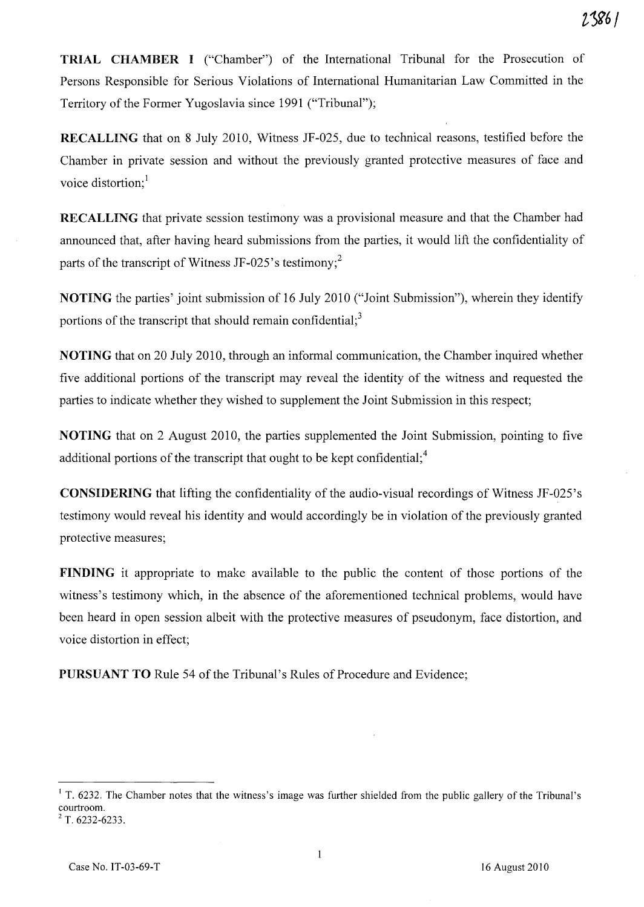TRIAL CHAMBER I ("Chamber") of the International Tribunal for the Prosecution of Persons Responsible for Serious Violations of International Humanitarian Law Committed in the Territory of the Former Yugoslavia since 1991 ("Tribunal");

RECALLING that on 8 July 2010, Witness JF-025, due to technical reasons, testified before the Chamber in private session and without the previously granted protective measures of face and voice distortion:<sup>1</sup>

RECALLING that private session testimony was a provisional measure and that the Chamber had announced that, after having heard submissions from the parties, it would lift the confidentiality of parts of the transcript of Witness JF-025's testimony;<sup>2</sup>

NOTING the parties' joint submission of 16 July 2010 ("Joint Submission"), wherein they identify portions of the transcript that should remain confidential; $3$ 

NOTING that on 20 July 2010, through an informal communication, the Chamber inquired whether five additional portions of the transcript may reveal the identity of the witness and requested the parties to indicate whether they wished to supplement the Joint Submission in this respect;

NOTING that on 2 August 2010, the parties supplemented the Joint Submission, pointing to five additional portions of the transcript that ought to be kept confidential;<sup>4</sup>

CONSIDERING that lifting the confidentiality of the audio-visual recordings of Witness JF-025's testimony would reveal his identity and would accordingly be in violation of the previously granted protective measures;

FINDING it appropriate to make available to the public the content of those portions of the witness's testimony which, in the absence of the aforementioned technical problems, would have been heard in open session albeit with the protective measures of pseudonym, face distortion, and voice distortion in effect;

PURSUANT TO Rule 54 of the Tribunal's Rules of Procedure and Evidence;

<sup>&</sup>lt;sup>1</sup> T. 6232. The Chamber notes that the witness's image was further shielded from the public gallery of the Tribunal's courtroom.

<sup>2</sup> T. 6232-6233.